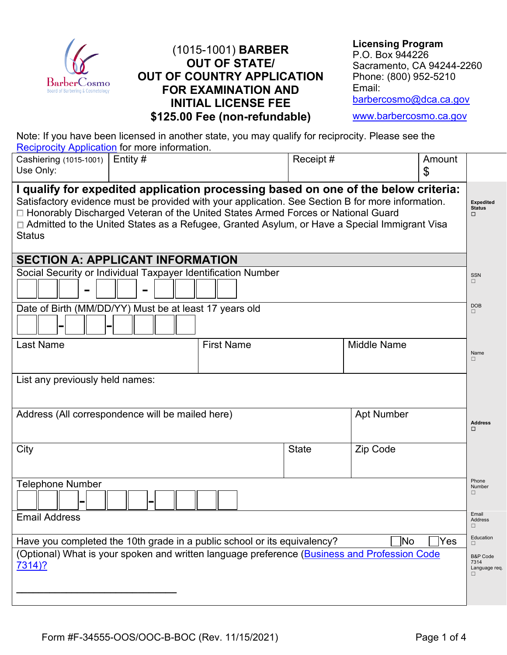

### (1015-1001) **BARBER OUT OF STATE/ OUT OF COUNTRY APPLICATION FOR EXAMINATION AND INITIAL LICENSE FEE \$125.00 Fee (non-refundable)**

| <b>Licensing Program</b>  |
|---------------------------|
| P.O. Box 944226           |
| Sacramento, CA 94244-2260 |
| Phone: (800) 952-5210     |
| Email:                    |
| barbercosmo@dca.ca.gov    |
|                           |

[www.barbercosmo.ca.gov](http://www.barbercosmo.ca.gov/)

Note: If you have been licensed in another state, you may qualify for reciprocity. Please see the **[Reciprocity Application](https://barbercosmo.ca.gov/forms_pubs/forms/reciprocity.pdf)** for more information.

| Cashiering (1015-1001)  <br>Use Only:                                                                                                                                                                                                                                                                                                                                                            | Entity $#$ |                   | Receipt#     |                    | Amount<br>\$                                      |                                        |
|--------------------------------------------------------------------------------------------------------------------------------------------------------------------------------------------------------------------------------------------------------------------------------------------------------------------------------------------------------------------------------------------------|------------|-------------------|--------------|--------------------|---------------------------------------------------|----------------------------------------|
| I qualify for expedited application processing based on one of the below criteria:<br>Satisfactory evidence must be provided with your application. See Section B for more information.<br>□ Honorably Discharged Veteran of the United States Armed Forces or National Guard<br>□ Admitted to the United States as a Refugee, Granted Asylum, or Have a Special Immigrant Visa<br><b>Status</b> |            |                   |              |                    |                                                   | <b>Expedited</b><br><b>Status</b><br>□ |
| <b>SECTION A: APPLICANT INFORMATION</b>                                                                                                                                                                                                                                                                                                                                                          |            |                   |              |                    |                                                   |                                        |
| Social Security or Individual Taxpayer Identification Number                                                                                                                                                                                                                                                                                                                                     |            |                   |              |                    |                                                   | <b>SSN</b><br>□                        |
| Date of Birth (MM/DD/YY) Must be at least 17 years old                                                                                                                                                                                                                                                                                                                                           |            |                   |              |                    |                                                   | <b>DOB</b><br>$\Box$                   |
| <b>Last Name</b>                                                                                                                                                                                                                                                                                                                                                                                 |            | <b>First Name</b> |              | <b>Middle Name</b> |                                                   | Name<br>П.                             |
| List any previously held names:                                                                                                                                                                                                                                                                                                                                                                  |            |                   |              |                    |                                                   |                                        |
| Address (All correspondence will be mailed here)                                                                                                                                                                                                                                                                                                                                                 |            |                   |              | <b>Apt Number</b>  |                                                   | <b>Address</b><br>□                    |
| City                                                                                                                                                                                                                                                                                                                                                                                             |            |                   | <b>State</b> | Zip Code           |                                                   |                                        |
| <b>Telephone Number</b>                                                                                                                                                                                                                                                                                                                                                                          |            |                   |              |                    |                                                   | Phone<br>Number<br>$\Box$              |
| <b>Email Address</b>                                                                                                                                                                                                                                                                                                                                                                             |            |                   |              |                    |                                                   | Email<br>Address<br>⊔                  |
| Have you completed the 10th grade in a public school or its equivalency?                                                                                                                                                                                                                                                                                                                         |            |                   |              | No                 | Yes                                               | Education<br>$\Box$                    |
| (Optional) What is your spoken and written language preference (Business and Profession Code<br><u>7314)?</u>                                                                                                                                                                                                                                                                                    |            |                   |              |                    | <b>B&amp;P Code</b><br>7314<br>Language req.<br>□ |                                        |
|                                                                                                                                                                                                                                                                                                                                                                                                  |            |                   |              |                    |                                                   |                                        |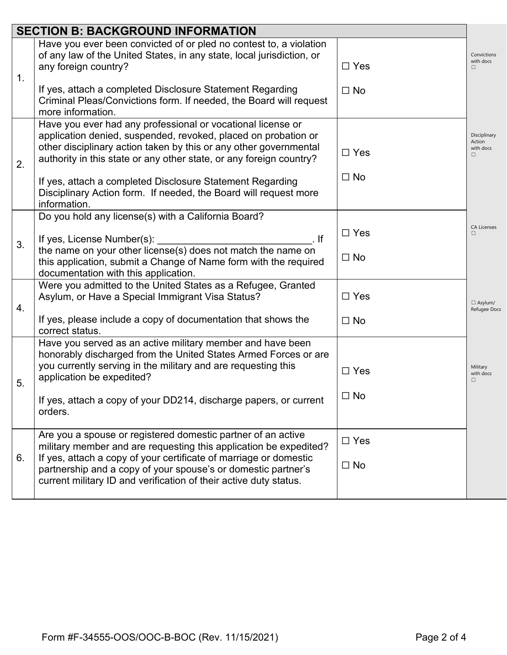|    | <b>SECTION B: BACKGROUND INFORMATION</b>                                                                                                                                                                                                                                  |                         |                                          |  |
|----|---------------------------------------------------------------------------------------------------------------------------------------------------------------------------------------------------------------------------------------------------------------------------|-------------------------|------------------------------------------|--|
| 1. | Have you ever been convicted of or pled no contest to, a violation<br>of any law of the United States, in any state, local jurisdiction, or<br>any foreign country?<br>If yes, attach a completed Disclosure Statement Regarding                                          | $\Box$ Yes<br>$\Box$ No | Convictions<br>with docs<br>П            |  |
|    | Criminal Pleas/Convictions form. If needed, the Board will request<br>more information.                                                                                                                                                                                   |                         |                                          |  |
| 2. | Have you ever had any professional or vocational license or<br>application denied, suspended, revoked, placed on probation or<br>other disciplinary action taken by this or any other governmental<br>authority in this state or any other state, or any foreign country? | $\Box$ Yes              | Disciplinary<br>Action<br>with docs<br>П |  |
|    | If yes, attach a completed Disclosure Statement Regarding<br>Disciplinary Action form. If needed, the Board will request more<br>information.                                                                                                                             | $\Box$ No               |                                          |  |
|    | Do you hold any license(s) with a California Board?                                                                                                                                                                                                                       |                         |                                          |  |
| 3. | If yes, License Number(s):<br>$\overline{\phantom{a}}$ . If                                                                                                                                                                                                               | $\Box$ Yes              | <b>CA Licenses</b><br>П                  |  |
|    | the name on your other license(s) does not match the name on<br>this application, submit a Change of Name form with the required<br>documentation with this application.                                                                                                  | $\Box$ No               |                                          |  |
| 4. | Were you admitted to the United States as a Refugee, Granted<br>Asylum, or Have a Special Immigrant Visa Status?                                                                                                                                                          | $\Box$ Yes              | $\Box$ Asylum/<br>Refugee Docs           |  |
|    | If yes, please include a copy of documentation that shows the<br>correct status.                                                                                                                                                                                          | $\square$ No            |                                          |  |
|    | Have you served as an active military member and have been<br>honorably discharged from the United States Armed Forces or are                                                                                                                                             |                         |                                          |  |
| 5. | you currently serving in the military and are requesting this<br>application be expedited?                                                                                                                                                                                | $\Box$ Yes              | Military<br>with docs<br>П               |  |
|    | If yes, attach a copy of your DD214, discharge papers, or current<br>orders.                                                                                                                                                                                              | $\Box$ No               |                                          |  |
| 6. | Are you a spouse or registered domestic partner of an active<br>military member and are requesting this application be expedited?<br>If yes, attach a copy of your certificate of marriage or domestic                                                                    | $\Box$ Yes              |                                          |  |
|    | partnership and a copy of your spouse's or domestic partner's<br>current military ID and verification of their active duty status.                                                                                                                                        | $\Box$ No               |                                          |  |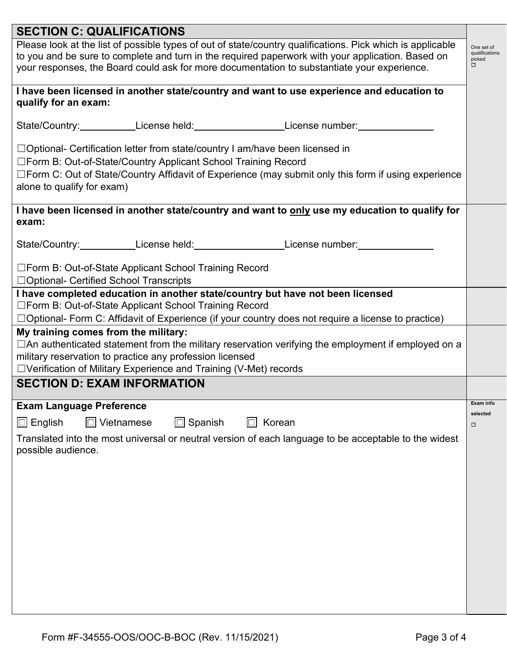| <b>SECTION C: QUALIFICATIONS</b>                                                                                                                                                                                                                                                                               |                                                  |  |  |  |
|----------------------------------------------------------------------------------------------------------------------------------------------------------------------------------------------------------------------------------------------------------------------------------------------------------------|--------------------------------------------------|--|--|--|
| Please look at the list of possible types of out of state/country qualifications. Pick which is applicable<br>to you and be sure to complete and turn in the required paperwork with your application. Based on<br>your responses, the Board could ask for more documentation to substantiate your experience. | One set of<br>qualifications<br>picked<br>$\Box$ |  |  |  |
| I have been licensed in another state/country and want to use experience and education to                                                                                                                                                                                                                      |                                                  |  |  |  |
| qualify for an exam:                                                                                                                                                                                                                                                                                           |                                                  |  |  |  |
| State/Country:____________License held:____________________License number:___________                                                                                                                                                                                                                          |                                                  |  |  |  |
| $\Box$ Optional- Certification letter from state/country I am/have been licensed in                                                                                                                                                                                                                            |                                                  |  |  |  |
| □Form B: Out-of-State/Country Applicant School Training Record                                                                                                                                                                                                                                                 |                                                  |  |  |  |
| □Form C: Out of State/Country Affidavit of Experience (may submit only this form if using experience<br>alone to qualify for exam)                                                                                                                                                                             |                                                  |  |  |  |
| I have been licensed in another state/country and want to only use my education to qualify for<br>exam:                                                                                                                                                                                                        |                                                  |  |  |  |
| State/Country:____________License held:____________________License number:________                                                                                                                                                                                                                             |                                                  |  |  |  |
| □Form B: Out-of-State Applicant School Training Record<br>□ Optional- Certified School Transcripts                                                                                                                                                                                                             |                                                  |  |  |  |
| I have completed education in another state/country but have not been licensed                                                                                                                                                                                                                                 |                                                  |  |  |  |
| □Form B: Out-of-State Applicant School Training Record                                                                                                                                                                                                                                                         |                                                  |  |  |  |
| $\Box$ Optional- Form C: Affidavit of Experience (if your country does not require a license to practice)                                                                                                                                                                                                      |                                                  |  |  |  |
| My training comes from the military:<br>$\Box$ An authenticated statement from the military reservation verifying the employment if employed on a<br>military reservation to practice any profession licensed                                                                                                  |                                                  |  |  |  |
| □Verification of Military Experience and Training (V-Met) records                                                                                                                                                                                                                                              |                                                  |  |  |  |
| <b>SECTION D: EXAM INFORMATION</b>                                                                                                                                                                                                                                                                             |                                                  |  |  |  |
| <b>Exam Language Preference</b>                                                                                                                                                                                                                                                                                | Exam info                                        |  |  |  |
| $\Box$ Vietnamese<br>$\Box$ Spanish<br>$\Box$ English<br>Korean<br>$\Box$                                                                                                                                                                                                                                      | selected<br>$\Box$                               |  |  |  |
| Translated into the most universal or neutral version of each language to be acceptable to the widest<br>possible audience.                                                                                                                                                                                    |                                                  |  |  |  |
|                                                                                                                                                                                                                                                                                                                |                                                  |  |  |  |
|                                                                                                                                                                                                                                                                                                                |                                                  |  |  |  |
|                                                                                                                                                                                                                                                                                                                |                                                  |  |  |  |
|                                                                                                                                                                                                                                                                                                                |                                                  |  |  |  |
|                                                                                                                                                                                                                                                                                                                |                                                  |  |  |  |
|                                                                                                                                                                                                                                                                                                                |                                                  |  |  |  |
|                                                                                                                                                                                                                                                                                                                |                                                  |  |  |  |
|                                                                                                                                                                                                                                                                                                                |                                                  |  |  |  |
|                                                                                                                                                                                                                                                                                                                |                                                  |  |  |  |
|                                                                                                                                                                                                                                                                                                                |                                                  |  |  |  |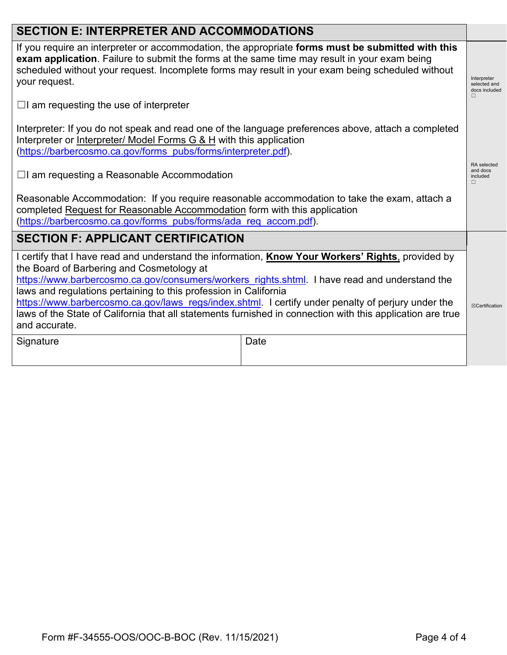# **SECTION E: INTERPRETER AND ACCOMMODATIONS**

If you require an interpreter or accommodation, the appropriate **forms must be submitted with this exam application**. Failure to submit the forms at the same time may result in your exam being scheduled without your request. Incomplete forms may result in your exam being scheduled without your request.

 $\Box$ I am requesting the use of interpreter

Interpreter: If you do not speak and read one of the language preferences above, attach a completed Interpreter or Interpreter/ Model Forms G & H with this application [\(https://barbercosmo.ca.gov/forms\\_pubs/forms/interpreter.pdf\)](https://barbercosmo.ca.gov/forms_pubs/forms/interpreter.pdf).

☐I am requesting a Reasonable Accommodation

Reasonable Accommodation: If you require reasonable accommodation to take the exam, attach a completed Request for Reasonable Accommodation form with this application [\(https://barbercosmo.ca.gov/forms\\_pubs/forms/ada\\_req\\_accom.pdf\)](https://barbercosmo.ca.gov/forms_pubs/forms/ada_req_accom.pdf).

# **SECTION F: APPLICANT CERTIFICATION**

I certify that I have read and understand the information, **Know Your Workers' Rights**, provided by the Board of Barbering and Cosmetology at

[https://www.barbercosmo.ca.gov/consumers/workers\\_rights.shtml.](https://www.barbercosmo.ca.gov/consumers/workers_rights.shtml) I have read and understand the laws and regulations pertaining to this profession in California

☒Certification [https://www.barbercosmo.ca.gov/laws\\_regs/index.shtml.](https://www.barbercosmo.ca.gov/laws_regs/index.shtml) I certify under penalty of perjury under the laws of the State of California that all statements furnished in connection with this application are true and accurate.

| Signature | Date |
|-----------|------|
|-----------|------|

Interprete selected and docs included ☐

RA selected and docs included ☐